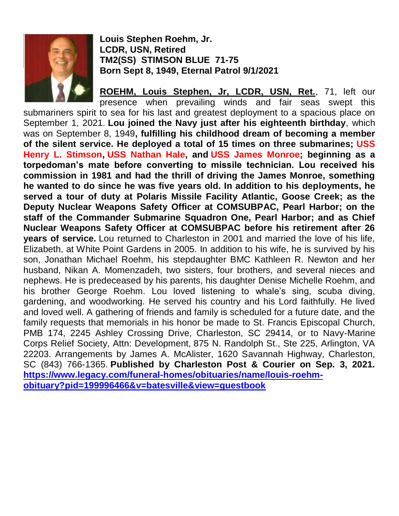

**Louis Stephen Roehm, Jr. LCDR, USN, Retired TM2(SS) STIMSON BLUE 71-75 Born Sept 8, 1949, Eternal Patrol 9/1/2021**

**ROEHM, Louis Stephen, Jr, LCDR, USN, Ret.**, 71, left our presence when prevailing winds and fair seas swept this submariners spirit to sea for his last and greatest deployment to a spacious place on September 1, 2021. **Lou joined the Navy just after his eighteenth birthday**, which was on September 8, 1949**, fulfilling his childhood dream of becoming a member of the silent service. He deployed a total of 15 times on three submarines; USS Henry L. Stimson, USS Nathan Hale, and USS James Monroe; beginning as a torpedoman's mate before converting to missile technician. Lou received his commission in 1981 and had the thrill of driving the James Monroe, something he wanted to do since he was five years old. In addition to his deployments, he served a tour of duty at Polaris Missile Facility Atlantic, Goose Creek; as the Deputy Nuclear Weapons Safety Officer at COMSUBPAC, Pearl Harbor; on the staff of the Commander Submarine Squadron One, Pearl Harbor; and as Chief Nuclear Weapons Safety Officer at COMSUBPAC before his retirement after 26 years of service.** Lou returned to Charleston in 2001 and married the love of his life, Elizabeth, at White Point Gardens in 2005. In addition to his wife, he is survived by his son, Jonathan Michael Roehm, his stepdaughter BMC Kathleen R. Newton and her husband, Nikan A. Momenzadeh, two sisters, four brothers, and several nieces and nephews. He is predeceased by his parents, his daughter Denise Michelle Roehm, and his brother George Roehm. Lou loved listening to whale's sing, scuba diving, gardening, and woodworking. He served his country and his Lord faithfully. He lived and loved well. A gathering of friends and family is scheduled for a future date, and the family requests that memorials in his honor be made to St. Francis Episcopal Church, PMB 174, 2245 Ashley Crossing Drive, Charleston, SC 29414, or to Navy-Marine Corps Relief Society, Attn: Development, 875 N. Randolph St., Ste 225, Arlington, VA 22203. Arrangements by James A. McAlister, 1620 Savannah Highway, Charleston, SC (843) 766-1365. **Published by Charleston Post & Courier on Sep. 3, 2021. [https://www.legacy.com/funeral-homes/obituaries/name/louis-roehm](https://www.legacy.com/funeral-homes/obituaries/name/louis-roehm-obituary?pid=199996466&v=batesville&view=guestbook)[obituary?pid=199996466&v=batesville&view=guestbook](https://www.legacy.com/funeral-homes/obituaries/name/louis-roehm-obituary?pid=199996466&v=batesville&view=guestbook)**